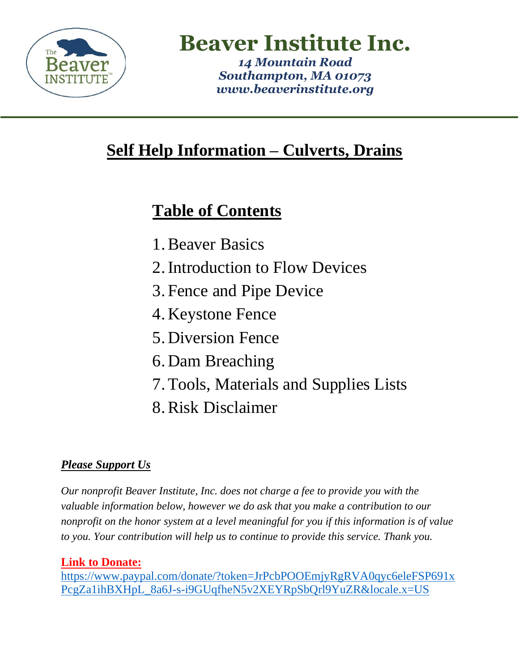

**Beaver Institute Inc.**

*14 Mountain Road Southampton, MA 01073 [www.beaverinstitute.org](http://www.beaverinstitute.org/)*

# **Self Help Information – Culverts, Drains**

# **Table of Contents**

- 1.Beaver Basics
- 2.Introduction to Flow Devices
- 3. Fence and Pipe Device
- 4. Keystone Fence
- 5. Diversion Fence
- 6. Dam Breaching
- 7.Tools, Materials and Supplies Lists
- 8.Risk Disclaimer

## *Please Support Us*

*Our nonprofit Beaver Institute, Inc. does not charge a fee to provide you with the valuable information below, however we do ask that you make a contribution to our nonprofit on the honor system at a level meaningful for you if this information is of value to you. Your contribution will help us to continue to provide this service. Thank you.* 

### **Link to Donate:**

[https://www.paypal.com/donate/?token=JrPcbPOOEmjyRgRVA0qyc6eleFSP691x](https://www.paypal.com/donate/?token=JrPcbPOOEmjyRgRVA0qyc6eleFSP691xPcgZa1ihBXHpL_8a6J-s-i9GUqfheN5v2XEYRpSbQrl9YuZR&locale.x=US) [PcgZa1ihBXHpL\\_8a6J-s-i9GUqfheN5v2XEYRpSbQrl9YuZR&locale.x=US](https://www.paypal.com/donate/?token=JrPcbPOOEmjyRgRVA0qyc6eleFSP691xPcgZa1ihBXHpL_8a6J-s-i9GUqfheN5v2XEYRpSbQrl9YuZR&locale.x=US)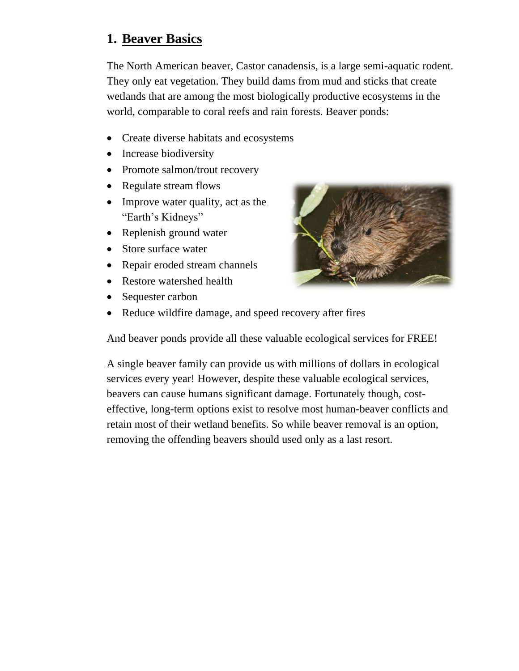### **1. Beaver Basics**

The North American beaver, Castor canadensis, is a large semi-aquatic rodent. They only eat vegetation. They build dams from mud and sticks that create wetlands that are among the most biologically productive ecosystems in the world, comparable to coral reefs and rain forests. Beaver ponds:

- Create diverse habitats and ecosystems
- Increase biodiversity
- Promote salmon/trout recovery
- Regulate stream flows
- Improve water quality, act as the "Earth's Kidneys"
- Replenish ground water
- Store surface water
- Repair eroded stream channels
- Restore watershed health
- Sequester carbon



And beaver ponds provide all these valuable ecological services for FREE!

A single beaver family can provide us with millions of dollars in ecological services every year! However, despite these valuable ecological services, beavers can cause humans significant damage. Fortunately though, costeffective, long-term options exist to resolve most human-beaver conflicts and retain most of their wetland benefits. So while beaver removal is an option, removing the offending beavers should used only as a last resort.

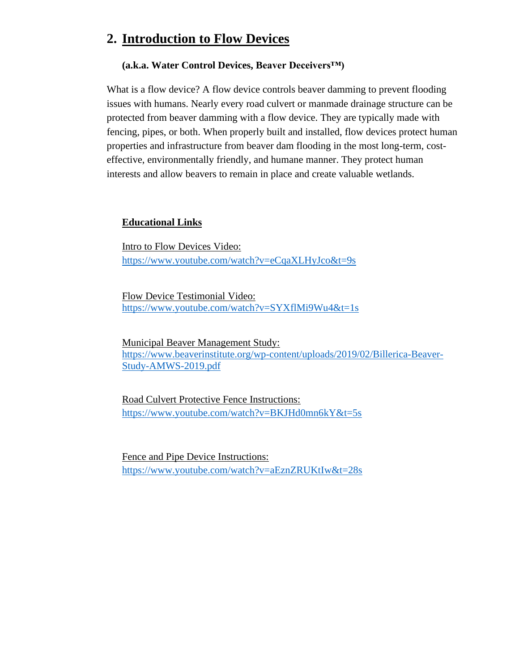### **2. Introduction to Flow Devices**

#### **(a.k.a. Water Control Devices, Beaver Deceivers™)**

What is a flow device? A flow device controls beaver damming to prevent flooding issues with humans. Nearly every road culvert or manmade drainage structure can be protected from beaver damming with a flow device. They are typically made with fencing, pipes, or both. When properly built and installed, flow devices protect human properties and infrastructure from beaver dam flooding in the most long-term, costeffective, environmentally friendly, and humane manner. They protect human interests and allow beavers to remain in place and create valuable wetlands.

#### **Educational Links**

Intro to Flow Devices Video: <https://www.youtube.com/watch?v=eCqaXLHyJco&t=9s>

Flow Device Testimonial Video: <https://www.youtube.com/watch?v=SYXflMi9Wu4&t=1s>

Municipal Beaver Management Study: [https://www.beaverinstitute.org/wp-content/uploads/2019/02/Billerica-Beaver-](https://www.beaverinstitute.org/wp-content/uploads/2019/02/Billerica-Beaver-Study-AMWS-2019.pdf)[Study-AMWS-2019.pdf](https://www.beaverinstitute.org/wp-content/uploads/2019/02/Billerica-Beaver-Study-AMWS-2019.pdf)

Road Culvert Protective Fence Instructions: <https://www.youtube.com/watch?v=BKJHd0mn6kY&t=5s>

Fence and Pipe Device Instructions: <https://www.youtube.com/watch?v=aEznZRUKtIw&t=28s>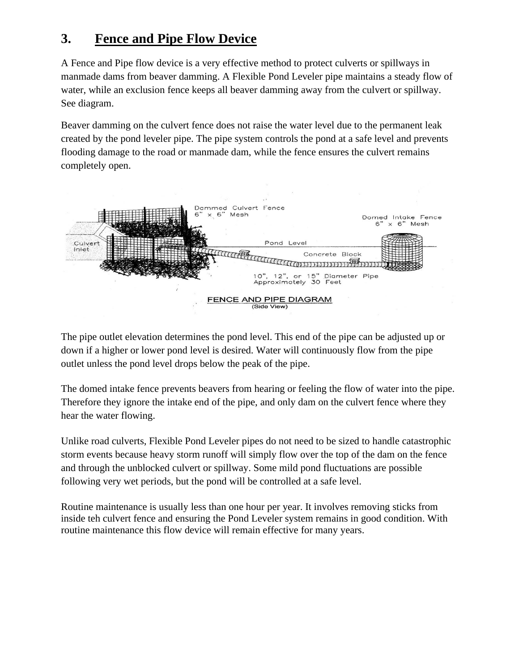## **3. Fence and Pipe Flow Device**

A Fence and Pipe flow device is a very effective method to protect culverts or spillways in manmade dams from beaver damming. A Flexible Pond Leveler pipe maintains a steady flow of water, while an exclusion fence keeps all beaver damming away from the culvert or spillway. See diagram.

Beaver damming on the culvert fence does not raise the water level due to the permanent leak created by the pond leveler pipe. The pipe system controls the pond at a safe level and prevents flooding damage to the road or manmade dam, while the fence ensures the culvert remains completely open.



The pipe outlet elevation determines the pond level. This end of the pipe can be adjusted up or down if a higher or lower pond level is desired. Water will continuously flow from the pipe outlet unless the pond level drops below the peak of the pipe.

The domed intake fence prevents beavers from hearing or feeling the flow of water into the pipe. Therefore they ignore the intake end of the pipe, and only dam on the culvert fence where they hear the water flowing.

Unlike road culverts, Flexible Pond Leveler pipes do not need to be sized to handle catastrophic storm events because heavy storm runoff will simply flow over the top of the dam on the fence and through the unblocked culvert or spillway. Some mild pond fluctuations are possible following very wet periods, but the pond will be controlled at a safe level.

Routine maintenance is usually less than one hour per year. It involves removing sticks from inside teh culvert fence and ensuring the Pond Leveler system remains in good condition. With routine maintenance this flow device will remain effective for many years.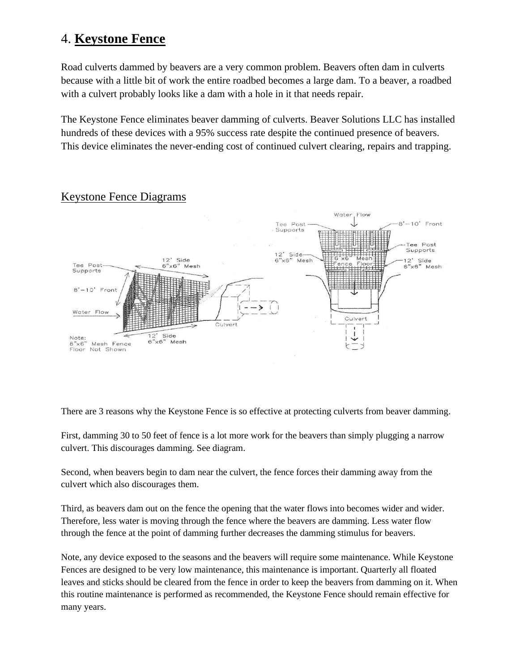### 4. **Keystone Fence**

Road culverts dammed by beavers are a very common problem. Beavers often dam in culverts because with a little bit of work the entire roadbed becomes a large dam. To a beaver, a roadbed with a culvert probably looks like a dam with a hole in it that needs repair.

The Keystone Fence eliminates beaver damming of culverts. Beaver Solutions LLC has installed hundreds of these devices with a 95% success rate despite the continued presence of beavers. This device eliminates the never-ending cost of continued culvert clearing, repairs and trapping.



#### Keystone Fence Diagrams

There are 3 reasons why the Keystone Fence is so effective at protecting culverts from beaver damming.

First, damming 30 to 50 feet of fence is a lot more work for the beavers than simply plugging a narrow culvert. This discourages damming. See diagram.

Second, when beavers begin to dam near the culvert, the fence forces their damming away from the culvert which also discourages them.

Third, as beavers dam out on the fence the opening that the water flows into becomes wider and wider. Therefore, less water is moving through the fence where the beavers are damming. Less water flow through the fence at the point of damming further decreases the damming stimulus for beavers.

Note, any device exposed to the seasons and the beavers will require some maintenance. While Keystone Fences are designed to be very low maintenance, this maintenance is important. Quarterly all floated leaves and sticks should be cleared from the fence in order to keep the beavers from damming on it. When this routine maintenance is performed as recommended, the Keystone Fence should remain effective for many years.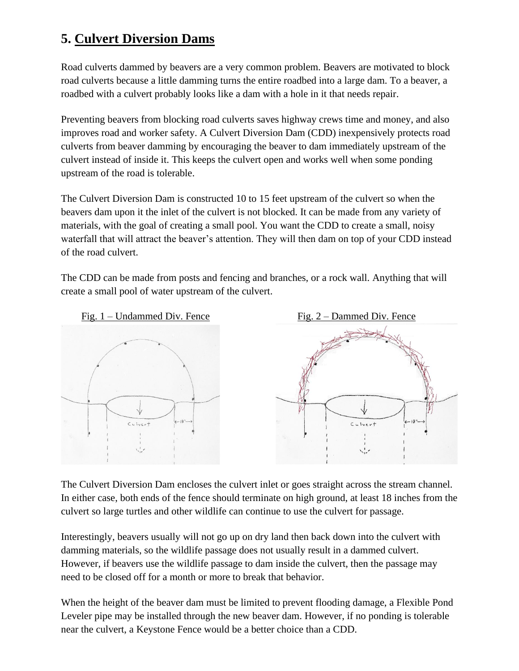# **5. Culvert Diversion Dams**

Road culverts dammed by beavers are a very common problem. Beavers are motivated to block road culverts because a little damming turns the entire roadbed into a large dam. To a beaver, a roadbed with a culvert probably looks like a dam with a hole in it that needs repair.

Preventing beavers from blocking road culverts saves highway crews time and money, and also improves road and worker safety. A Culvert Diversion Dam (CDD) inexpensively protects road culverts from beaver damming by encouraging the beaver to dam immediately upstream of the culvert instead of inside it. This keeps the culvert open and works well when some ponding upstream of the road is tolerable.

The Culvert Diversion Dam is constructed 10 to 15 feet upstream of the culvert so when the beavers dam upon it the inlet of the culvert is not blocked. It can be made from any variety of materials, with the goal of creating a small pool. You want the CDD to create a small, noisy waterfall that will attract the beaver's attention. They will then dam on top of your CDD instead of the road culvert.

The CDD can be made from posts and fencing and branches, or a rock wall. Anything that will create a small pool of water upstream of the culvert.



The Culvert Diversion Dam encloses the culvert inlet or goes straight across the stream channel. In either case, both ends of the fence should terminate on high ground, at least 18 inches from the culvert so large turtles and other wildlife can continue to use the culvert for passage.

Interestingly, beavers usually will not go up on dry land then back down into the culvert with damming materials, so the wildlife passage does not usually result in a dammed culvert. However, if beavers use the wildlife passage to dam inside the culvert, then the passage may need to be closed off for a month or more to break that behavior.

When the height of the beaver dam must be limited to prevent flooding damage, a Flexible Pond Leveler pipe may be installed through the new beaver dam. However, if no ponding is tolerable near the culvert, a Keystone Fence would be a better choice than a CDD.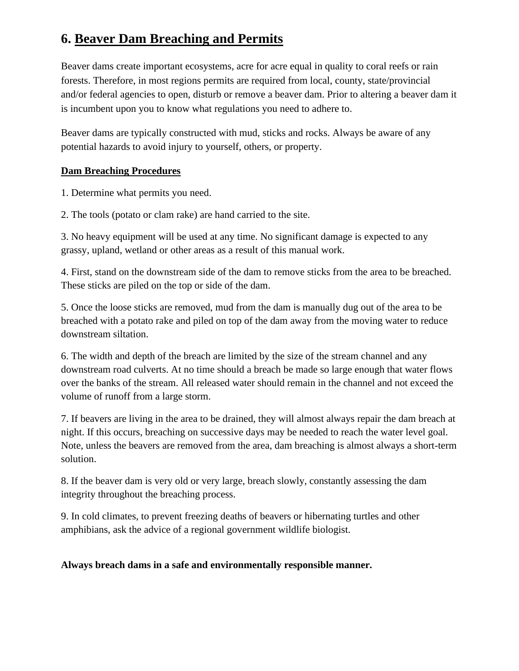# **6. Beaver Dam Breaching and Permits**

Beaver dams create important ecosystems, acre for acre equal in quality to coral reefs or rain forests. Therefore, in most regions permits are required from local, county, state/provincial and/or federal agencies to open, disturb or remove a beaver dam. Prior to altering a beaver dam it is incumbent upon you to know what regulations you need to adhere to.

Beaver dams are typically constructed with mud, sticks and rocks. Always be aware of any potential hazards to avoid injury to yourself, others, or property.

#### **Dam Breaching Procedures**

1. Determine what permits you need.

2. The tools (potato or clam rake) are hand carried to the site.

3. No heavy equipment will be used at any time. No significant damage is expected to any grassy, upland, wetland or other areas as a result of this manual work.

4. First, stand on the downstream side of the dam to remove sticks from the area to be breached. These sticks are piled on the top or side of the dam.

5. Once the loose sticks are removed, mud from the dam is manually dug out of the area to be breached with a potato rake and piled on top of the dam away from the moving water to reduce downstream siltation.

6. The width and depth of the breach are limited by the size of the stream channel and any downstream road culverts. At no time should a breach be made so large enough that water flows over the banks of the stream. All released water should remain in the channel and not exceed the volume of runoff from a large storm.

7. If beavers are living in the area to be drained, they will almost always repair the dam breach at night. If this occurs, breaching on successive days may be needed to reach the water level goal. Note, unless the beavers are removed from the area, dam breaching is almost always a short-term solution.

8. If the beaver dam is very old or very large, breach slowly, constantly assessing the dam integrity throughout the breaching process.

9. In cold climates, to prevent freezing deaths of beavers or hibernating turtles and other amphibians, ask the advice of a regional government wildlife biologist.

#### **Always breach dams in a safe and environmentally responsible manner.**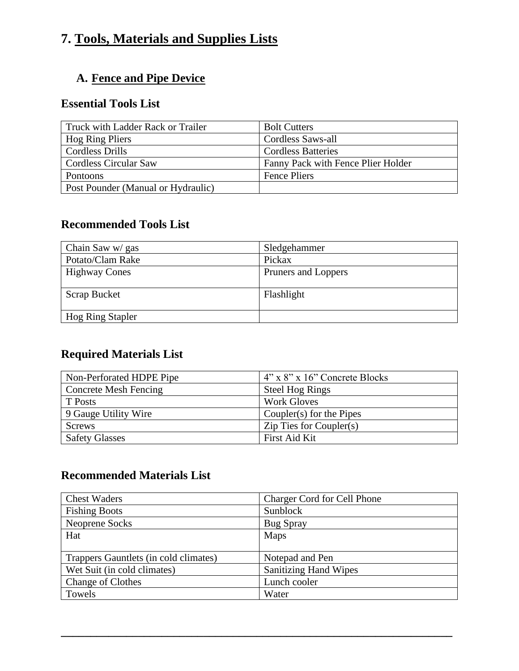# **7. Tools, Materials and Supplies Lists**

### **A. Fence and Pipe Device**

#### **Essential Tools List**

| Truck with Ladder Rack or Trailer  | <b>Bolt Cutters</b>                |
|------------------------------------|------------------------------------|
| Hog Ring Pliers                    | Cordless Saws-all                  |
| Cordless Drills                    | <b>Cordless Batteries</b>          |
| <b>Cordless Circular Saw</b>       | Fanny Pack with Fence Plier Holder |
| Pontoons                           | <b>Fence Pliers</b>                |
| Post Pounder (Manual or Hydraulic) |                                    |

#### **Recommended Tools List**

| Chain Saw w/ gas        | Sledgehammer        |
|-------------------------|---------------------|
| Potato/Clam Rake        | Pickax              |
| <b>Highway Cones</b>    | Pruners and Loppers |
|                         |                     |
| Scrap Bucket            | Flashlight          |
|                         |                     |
| <b>Hog Ring Stapler</b> |                     |

### **Required Materials List**

| Non-Perforated HDPE Pipe     | $4"$ x $8"$ x 16" Concrete Blocks     |
|------------------------------|---------------------------------------|
| <b>Concrete Mesh Fencing</b> | <b>Steel Hog Rings</b>                |
| T Posts                      | <b>Work Gloves</b>                    |
| 9 Gauge Utility Wire         | Coupler $(s)$ for the Pipes           |
| <b>Screws</b>                | $\overline{L}$ ip Ties for Coupler(s) |
| <b>Safety Glasses</b>        | First Aid Kit                         |

#### **Recommended Materials List**

| <b>Chest Waders</b>                   | <b>Charger Cord for Cell Phone</b> |
|---------------------------------------|------------------------------------|
| <b>Fishing Boots</b>                  | Sunblock                           |
| Neoprene Socks                        | <b>Bug Spray</b>                   |
| Hat                                   | Maps                               |
|                                       |                                    |
| Trappers Gauntlets (in cold climates) | Notepad and Pen                    |
| Wet Suit (in cold climates)           | <b>Sanitizing Hand Wipes</b>       |
| <b>Change of Clothes</b>              | Lunch cooler                       |
| Towels                                | Water                              |

**\_\_\_\_\_\_\_\_\_\_\_\_\_\_\_\_\_\_\_\_\_\_\_\_\_\_\_\_\_\_\_\_\_\_\_\_\_\_\_\_\_\_\_\_\_\_\_\_\_\_\_\_\_\_\_\_\_\_\_\_\_\_\_\_\_\_**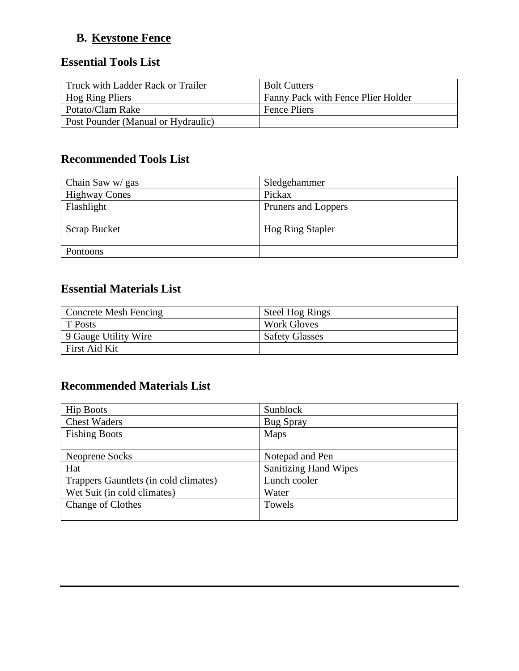### **B. Keystone Fence**

#### **Essential Tools List**

| Truck with Ladder Rack or Trailer  | <b>Bolt Cutters</b>                |
|------------------------------------|------------------------------------|
| Hog Ring Pliers                    | Fanny Pack with Fence Plier Holder |
| Potato/Clam Rake                   | Fence Pliers                       |
| Post Pounder (Manual or Hydraulic) |                                    |

#### **Recommended Tools List**

| Chain Saw w/ gas     | Sledgehammer            |
|----------------------|-------------------------|
| <b>Highway Cones</b> | Pickax                  |
| Flashlight           | Pruners and Loppers     |
|                      |                         |
| <b>Scrap Bucket</b>  | <b>Hog Ring Stapler</b> |
|                      |                         |
| Pontoons             |                         |

#### **Essential Materials List**

| <b>Concrete Mesh Fencing</b> | <b>Steel Hog Rings</b> |
|------------------------------|------------------------|
| <b>T</b> Posts               | Work Gloves            |
| 9 Gauge Utility Wire         | <b>Safety Glasses</b>  |
| First Aid Kit                |                        |

### **Recommended Materials List**

| <b>Hip Boots</b>                      | Sunblock                     |
|---------------------------------------|------------------------------|
| <b>Chest Waders</b>                   | <b>Bug Spray</b>             |
| <b>Fishing Boots</b>                  | Maps                         |
|                                       |                              |
| Neoprene Socks                        | Notepad and Pen              |
| Hat                                   | <b>Sanitizing Hand Wipes</b> |
| Trappers Gauntlets (in cold climates) | Lunch cooler                 |
| Wet Suit (in cold climates)           | Water                        |
| <b>Change of Clothes</b>              | Towels                       |
|                                       |                              |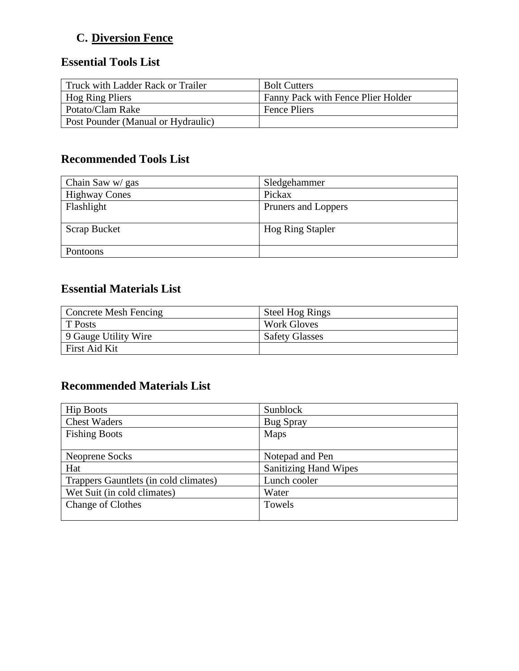## **C. Diversion Fence**

## **Essential Tools List**

| Truck with Ladder Rack or Trailer  | <b>Bolt Cutters</b>                |
|------------------------------------|------------------------------------|
| Hog Ring Pliers                    | Fanny Pack with Fence Plier Holder |
| Potato/Clam Rake                   | Fence Pliers                       |
| Post Pounder (Manual or Hydraulic) |                                    |

#### **Recommended Tools List**

| Chain Saw w/ gas     | Sledgehammer            |
|----------------------|-------------------------|
| <b>Highway Cones</b> | Pickax                  |
| Flashlight           | Pruners and Loppers     |
|                      |                         |
| <b>Scrap Bucket</b>  | <b>Hog Ring Stapler</b> |
|                      |                         |
| Pontoons             |                         |

#### **Essential Materials List**

| <b>Concrete Mesh Fencing</b> | <b>Steel Hog Rings</b> |
|------------------------------|------------------------|
| T Posts                      | Work Gloves            |
| 9 Gauge Utility Wire         | <b>Safety Glasses</b>  |
| First Aid Kit                |                        |

### **Recommended Materials List**

| <b>Hip Boots</b>                      | Sunblock                     |
|---------------------------------------|------------------------------|
| <b>Chest Waders</b>                   | <b>Bug Spray</b>             |
| <b>Fishing Boots</b>                  | Maps                         |
|                                       |                              |
| Neoprene Socks                        | Notepad and Pen              |
| Hat                                   | <b>Sanitizing Hand Wipes</b> |
| Trappers Gauntlets (in cold climates) | Lunch cooler                 |
| Wet Suit (in cold climates)           | Water                        |
| <b>Change of Clothes</b>              | Towels                       |
|                                       |                              |